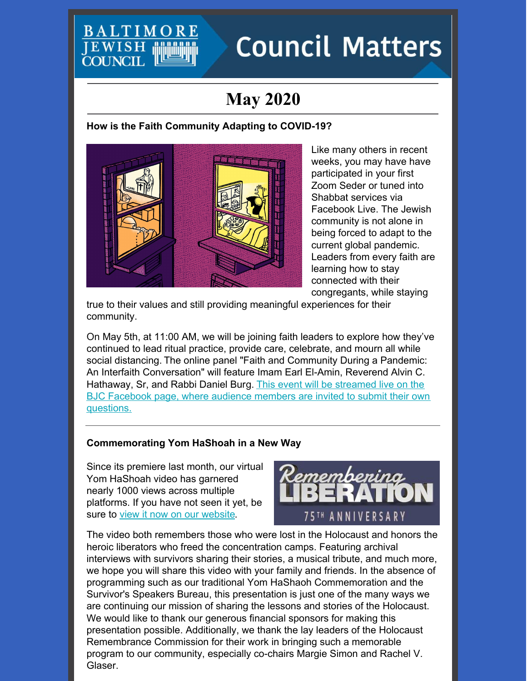# EWIS

# **Council Matters**

# **May 2020**

# **How is the Faith Community Adapting to COVID-19?**



Like many others in recent weeks, you may have have participated in your first Zoom Seder or tuned into Shabbat services via Facebook Live. The Jewish community is not alone in being forced to adapt to the current global pandemic. Leaders from every faith are learning how to stay connected with their congregants, while staying

true to their values and still providing meaningful experiences for their community.

On May 5th, at 11:00 AM, we will be joining faith leaders to explore how they've continued to lead ritual practice, provide care, celebrate, and mourn all while social distancing. The online panel "Faith and Community During a Pandemic: An Interfaith Conversation" will feature Imam Earl El-Amin, Reverend Alvin C. [Hathaway,](https://www.facebook.com/baltimorejewishcouncil/) Sr, and Rabbi Daniel Burg. This event will be streamed live on the BJC Facebook page, where audience members are invited to submit their own questions.

# **Commemorating Yom HaShoah in a New Way**

Since its premiere last month, our virtual Yom HaShoah video has garnered nearly 1000 views across multiple platforms. If you have not seen it yet, be sure to view it now on our [website](https://www.baltjc.org/yomhashoah2020).



The video both remembers those who were lost in the Holocaust and honors the heroic liberators who freed the concentration camps. Featuring archival interviews with survivors sharing their stories, a musical tribute, and much more, we hope you will share this video with your family and friends. In the absence of programming such as our traditional Yom HaShaoh Commemoration and the Survivor's Speakers Bureau, this presentation is just one of the many ways we are continuing our mission of sharing the lessons and stories of the Holocaust. We would like to thank our generous financial sponsors for making this presentation possible. Additionally, we thank the lay leaders of the Holocaust Remembrance Commission for their work in bringing such a memorable program to our community, especially co-chairs Margie Simon and Rachel V. Glaser.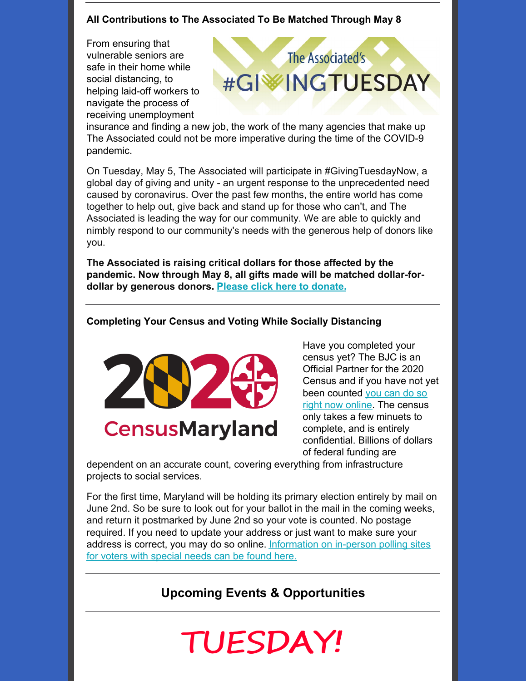# **All Contributions to The Associated To Be Matched Through May 8**

From ensuring that vulnerable seniors are safe in their home while social distancing, to helping laid-off workers to navigate the process of receiving unemployment



insurance and finding a new job, the work of the many agencies that make up The Associated could not be more imperative during the time of the COVID-9 pandemic.

On Tuesday, May 5, The Associated will participate in #GivingTuesdayNow, a global day of giving and unity - an urgent response to the unprecedented need caused by coronavirus. Over the past few months, the entire world has come together to help out, give back and stand up for those who can't, and The Associated is leading the way for our community. We are able to quickly and nimbly respond to our community's needs with the generous help of donors like you.

**The Associated is raising critical dollars for those affected by the pandemic. Now through May 8, all gifts made will be matched dollar-fordollar by generous donors. Please click here to [donate.](https://4249bl.blackbaudhosting.com/givingtuesdaynow)**

# **Completing Your Census and Voting While Socially Distancing**



**CensusMaryland** 

Have you completed your census yet? The BJC is an Official Partner for the 2020 Census and if you have not yet been [counted](http://census.gov) you can do so right now online. The census only takes a few minuets to complete, and is entirely confidential. Billions of dollars of federal funding are

dependent on an accurate count, covering everything from infrastructure projects to social services.

For the first time, Maryland will be holding its primary election entirely by mail on June 2nd. So be sure to look out for your ballot in the mail in the coming weeks, and return it postmarked by June 2nd so your vote is counted. No postage required. If you need to update your address or just want to make sure your address is correct, you may do so online. [Information](https://www.elections.maryland.gov/elections/2020/index.html) on in-person polling sites for voters with special needs can be found here.

# **Upcoming Events & Opportunities**

# TUESDAY!